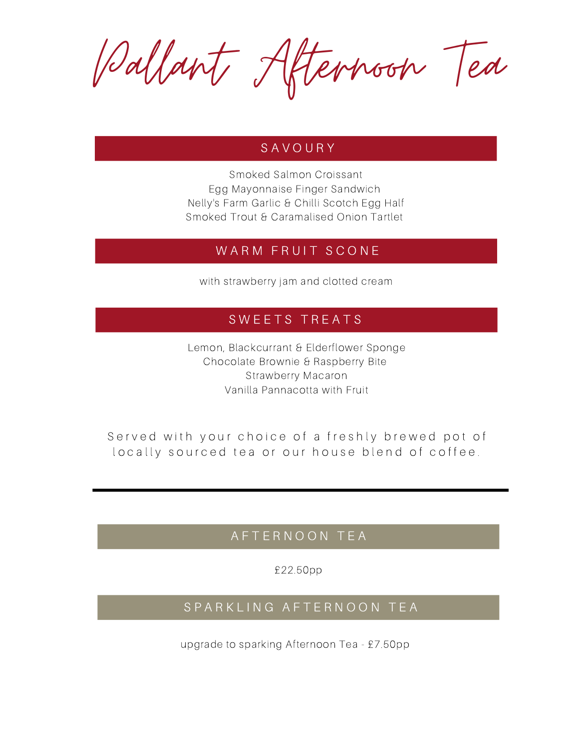Pallant Afternoon Tea

### S A V O U R Y

Smoked Salmon Croissant Egg Mayonnaise Finger Sandwich Nelly's Farm Garlic & Chilli Scotch Egg Half Smoked Trout & Caramalised Onion Tartlet

### WARM FRUIT SCONE

with strawberry jam and clotted cream

## SWEETS TREATS

Lemon, Blackcurrant & Elderflower Sponge Chocolate Brownie & Raspberry Bite Strawberry Macaron Vanilla Pannacotta with Fruit

Served with your choice of a freshly brewed pot of locally sourced tea or our house blend of coffee.

## A F T E R N O O N T E A

£22.50pp

## S P A R K L I N G A F T E R N O O N T E A

upgrade to sparking Afternoon Tea - £7.50pp